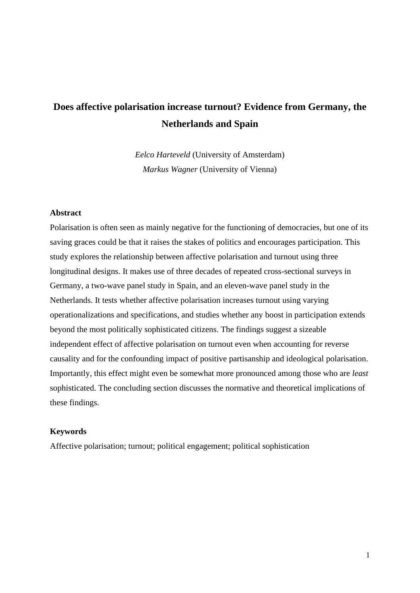# **Does affective polarisation increase turnout? Evidence from Germany, the Netherlands and Spain**

*Eelco Harteveld* (University of Amsterdam) *Markus Wagner* (University of Vienna)

#### **Abstract**

Polarisation is often seen as mainly negative for the functioning of democracies, but one of its saving graces could be that it raises the stakes of politics and encourages participation. This study explores the relationship between affective polarisation and turnout using three longitudinal designs. It makes use of three decades of repeated cross-sectional surveys in Germany, a two-wave panel study in Spain, and an eleven-wave panel study in the Netherlands. It tests whether affective polarisation increases turnout using varying operationalizations and specifications, and studies whether any boost in participation extends beyond the most politically sophisticated citizens. The findings suggest a sizeable independent effect of affective polarisation on turnout even when accounting for reverse causality and for the confounding impact of positive partisanship and ideological polarisation. Importantly, this effect might even be somewhat more pronounced among those who are *least* sophisticated. The concluding section discusses the normative and theoretical implications of these findings.

#### **Keywords**

Affective polarisation; turnout; political engagement; political sophistication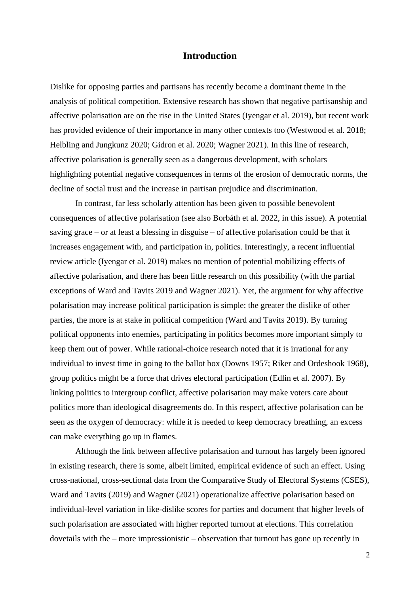## **Introduction**

Dislike for opposing parties and partisans has recently become a dominant theme in the analysis of political competition. Extensive research has shown that negative partisanship and affective polarisation are on the rise in the United States (Iyengar et al. 2019), but recent work has provided evidence of their importance in many other contexts too (Westwood et al. 2018; Helbling and Jungkunz 2020; Gidron et al. 2020; Wagner 2021). In this line of research, affective polarisation is generally seen as a dangerous development, with scholars highlighting potential negative consequences in terms of the erosion of democratic norms, the decline of social trust and the increase in partisan prejudice and discrimination.

In contrast, far less scholarly attention has been given to possible benevolent consequences of affective polarisation (see also Borbáth et al. 2022, in this issue). A potential saving grace – or at least a blessing in disguise – of affective polarisation could be that it increases engagement with, and participation in, politics. Interestingly, a recent influential review article (Iyengar et al. 2019) makes no mention of potential mobilizing effects of affective polarisation, and there has been little research on this possibility (with the partial exceptions of Ward and Tavits 2019 and Wagner 2021). Yet, the argument for why affective polarisation may increase political participation is simple: the greater the dislike of other parties, the more is at stake in political competition (Ward and Tavits 2019). By turning political opponents into enemies, participating in politics becomes more important simply to keep them out of power. While rational-choice research noted that it is irrational for any individual to invest time in going to the ballot box (Downs 1957; Riker and Ordeshook 1968), group politics might be a force that drives electoral participation (Edlin et al. 2007). By linking politics to intergroup conflict, affective polarisation may make voters care about politics more than ideological disagreements do. In this respect, affective polarisation can be seen as the oxygen of democracy: while it is needed to keep democracy breathing, an excess can make everything go up in flames.

Although the link between affective polarisation and turnout has largely been ignored in existing research, there is some, albeit limited, empirical evidence of such an effect. Using cross-national, cross-sectional data from the Comparative Study of Electoral Systems (CSES), Ward and Tavits (2019) and Wagner (2021) operationalize affective polarisation based on individual-level variation in like-dislike scores for parties and document that higher levels of such polarisation are associated with higher reported turnout at elections. This correlation dovetails with the – more impressionistic – observation that turnout has gone up recently in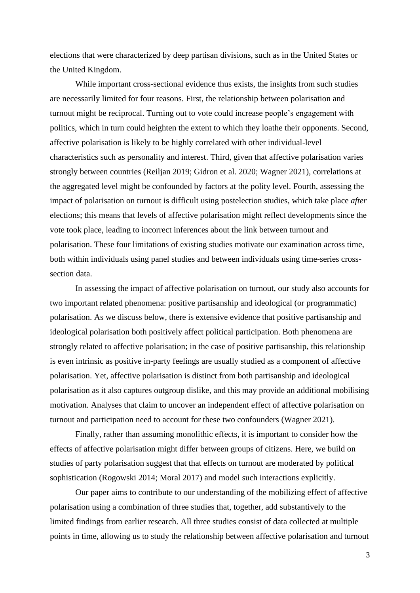elections that were characterized by deep partisan divisions, such as in the United States or the United Kingdom.

While important cross-sectional evidence thus exists, the insights from such studies are necessarily limited for four reasons. First, the relationship between polarisation and turnout might be reciprocal. Turning out to vote could increase people's engagement with politics, which in turn could heighten the extent to which they loathe their opponents. Second, affective polarisation is likely to be highly correlated with other individual-level characteristics such as personality and interest. Third, given that affective polarisation varies strongly between countries (Reiljan 2019; Gidron et al. 2020; Wagner 2021), correlations at the aggregated level might be confounded by factors at the polity level. Fourth, assessing the impact of polarisation on turnout is difficult using postelection studies, which take place *after*  elections; this means that levels of affective polarisation might reflect developments since the vote took place, leading to incorrect inferences about the link between turnout and polarisation. These four limitations of existing studies motivate our examination across time, both within individuals using panel studies and between individuals using time-series crosssection data.

In assessing the impact of affective polarisation on turnout, our study also accounts for two important related phenomena: positive partisanship and ideological (or programmatic) polarisation. As we discuss below, there is extensive evidence that positive partisanship and ideological polarisation both positively affect political participation. Both phenomena are strongly related to affective polarisation; in the case of positive partisanship, this relationship is even intrinsic as positive in-party feelings are usually studied as a component of affective polarisation. Yet, affective polarisation is distinct from both partisanship and ideological polarisation as it also captures outgroup dislike, and this may provide an additional mobilising motivation. Analyses that claim to uncover an independent effect of affective polarisation on turnout and participation need to account for these two confounders (Wagner 2021).

Finally, rather than assuming monolithic effects, it is important to consider how the effects of affective polarisation might differ between groups of citizens. Here, we build on studies of party polarisation suggest that that effects on turnout are moderated by political sophistication (Rogowski 2014; Moral 2017) and model such interactions explicitly.

Our paper aims to contribute to our understanding of the mobilizing effect of affective polarisation using a combination of three studies that, together, add substantively to the limited findings from earlier research. All three studies consist of data collected at multiple points in time, allowing us to study the relationship between affective polarisation and turnout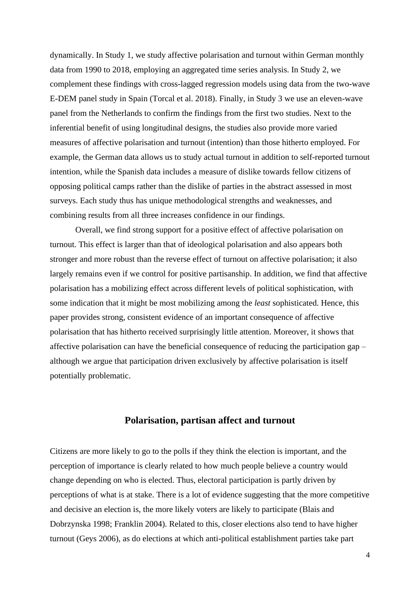dynamically. In Study 1, we study affective polarisation and turnout within German monthly data from 1990 to 2018, employing an aggregated time series analysis. In Study 2, we complement these findings with cross-lagged regression models using data from the two-wave E-DEM panel study in Spain (Torcal et al. 2018). Finally, in Study 3 we use an eleven-wave panel from the Netherlands to confirm the findings from the first two studies. Next to the inferential benefit of using longitudinal designs, the studies also provide more varied measures of affective polarisation and turnout (intention) than those hitherto employed. For example, the German data allows us to study actual turnout in addition to self-reported turnout intention, while the Spanish data includes a measure of dislike towards fellow citizens of opposing political camps rather than the dislike of parties in the abstract assessed in most surveys. Each study thus has unique methodological strengths and weaknesses, and combining results from all three increases confidence in our findings.

Overall, we find strong support for a positive effect of affective polarisation on turnout. This effect is larger than that of ideological polarisation and also appears both stronger and more robust than the reverse effect of turnout on affective polarisation; it also largely remains even if we control for positive partisanship. In addition, we find that affective polarisation has a mobilizing effect across different levels of political sophistication, with some indication that it might be most mobilizing among the *least* sophisticated. Hence, this paper provides strong, consistent evidence of an important consequence of affective polarisation that has hitherto received surprisingly little attention. Moreover, it shows that affective polarisation can have the beneficial consequence of reducing the participation gap – although we argue that participation driven exclusively by affective polarisation is itself potentially problematic.

## **Polarisation, partisan affect and turnout**

Citizens are more likely to go to the polls if they think the election is important, and the perception of importance is clearly related to how much people believe a country would change depending on who is elected. Thus, electoral participation is partly driven by perceptions of what is at stake. There is a lot of evidence suggesting that the more competitive and decisive an election is, the more likely voters are likely to participate (Blais and Dobrzynska 1998; Franklin 2004). Related to this, closer elections also tend to have higher turnout (Geys 2006), as do elections at which anti-political establishment parties take part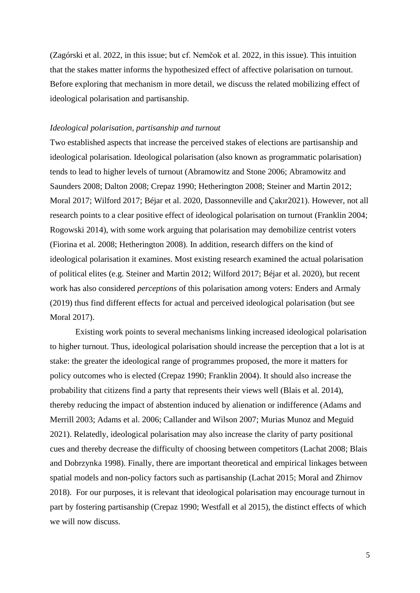(Zagórski et al. 2022, in this issue; but cf. Nemčok et al. 2022, in this issue). This intuition that the stakes matter informs the hypothesized effect of affective polarisation on turnout. Before exploring that mechanism in more detail, we discuss the related mobilizing effect of ideological polarisation and partisanship.

#### *Ideological polarisation, partisanship and turnout*

Two established aspects that increase the perceived stakes of elections are partisanship and ideological polarisation. Ideological polarisation (also known as programmatic polarisation) tends to lead to higher levels of turnout (Abramowitz and Stone 2006; Abramowitz and Saunders 2008; Dalton 2008; Crepaz 1990; Hetherington 2008; Steiner and Martin 2012; Moral 2017; Wilford 2017; Béjar et al. 2020, Dassonneville and Çakır2021). However, not all research points to a clear positive effect of ideological polarisation on turnout (Franklin 2004; Rogowski 2014), with some work arguing that polarisation may demobilize centrist voters (Fiorina et al. 2008; Hetherington 2008). In addition, research differs on the kind of ideological polarisation it examines. Most existing research examined the actual polarisation of political elites (e.g. Steiner and Martin 2012; Wilford 2017; Béjar et al. 2020), but recent work has also considered *perceptions* of this polarisation among voters: Enders and Armaly (2019) thus find different effects for actual and perceived ideological polarisation (but see Moral 2017).

Existing work points to several mechanisms linking increased ideological polarisation to higher turnout. Thus, ideological polarisation should increase the perception that a lot is at stake: the greater the ideological range of programmes proposed, the more it matters for policy outcomes who is elected (Crepaz 1990; Franklin 2004). It should also increase the probability that citizens find a party that represents their views well (Blais et al. 2014), thereby reducing the impact of abstention induced by alienation or indifference (Adams and Merrill 2003; Adams et al. 2006; Callander and Wilson 2007; Murias Munoz and Meguid 2021). Relatedly, ideological polarisation may also increase the clarity of party positional cues and thereby decrease the difficulty of choosing between competitors (Lachat 2008; Blais and Dobrzynka 1998). Finally, there are important theoretical and empirical linkages between spatial models and non-policy factors such as partisanship (Lachat 2015; Moral and Zhirnov 2018). For our purposes, it is relevant that ideological polarisation may encourage turnout in part by fostering partisanship (Crepaz 1990; Westfall et al 2015), the distinct effects of which we will now discuss.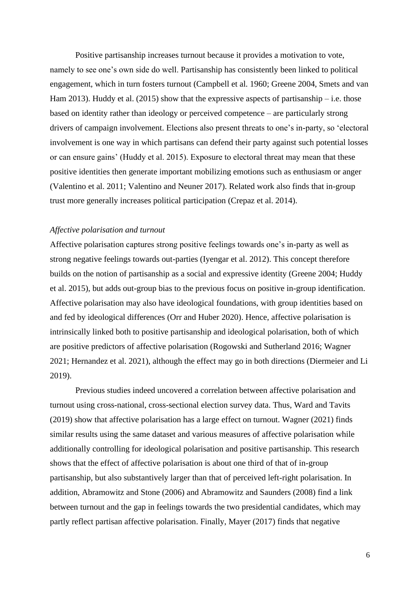Positive partisanship increases turnout because it provides a motivation to vote, namely to see one's own side do well. Partisanship has consistently been linked to political engagement, which in turn fosters turnout (Campbell et al. 1960; Greene 2004, Smets and van Ham 2013). Huddy et al. (2015) show that the expressive aspects of partisanship – i.e. those based on identity rather than ideology or perceived competence – are particularly strong drivers of campaign involvement. Elections also present threats to one's in-party, so 'electoral involvement is one way in which partisans can defend their party against such potential losses or can ensure gains' (Huddy et al. 2015). Exposure to electoral threat may mean that these positive identities then generate important mobilizing emotions such as enthusiasm or anger (Valentino et al. 2011; Valentino and Neuner 2017). Related work also finds that in-group trust more generally increases political participation (Crepaz et al. 2014).

#### *Affective polarisation and turnout*

Affective polarisation captures strong positive feelings towards one's in-party as well as strong negative feelings towards out-parties (Iyengar et al. 2012). This concept therefore builds on the notion of partisanship as a social and expressive identity (Greene 2004; Huddy et al. 2015), but adds out-group bias to the previous focus on positive in-group identification. Affective polarisation may also have ideological foundations, with group identities based on and fed by ideological differences (Orr and Huber 2020). Hence, affective polarisation is intrinsically linked both to positive partisanship and ideological polarisation, both of which are positive predictors of affective polarisation (Rogowski and Sutherland 2016; Wagner 2021; Hernandez et al. 2021), although the effect may go in both directions (Diermeier and Li 2019).

Previous studies indeed uncovered a correlation between affective polarisation and turnout using cross-national, cross-sectional election survey data. Thus, Ward and Tavits (2019) show that affective polarisation has a large effect on turnout. Wagner (2021) finds similar results using the same dataset and various measures of affective polarisation while additionally controlling for ideological polarisation and positive partisanship. This research shows that the effect of affective polarisation is about one third of that of in-group partisanship, but also substantively larger than that of perceived left-right polarisation. In addition, Abramowitz and Stone (2006) and Abramowitz and Saunders (2008) find a link between turnout and the gap in feelings towards the two presidential candidates, which may partly reflect partisan affective polarisation. Finally, Mayer (2017) finds that negative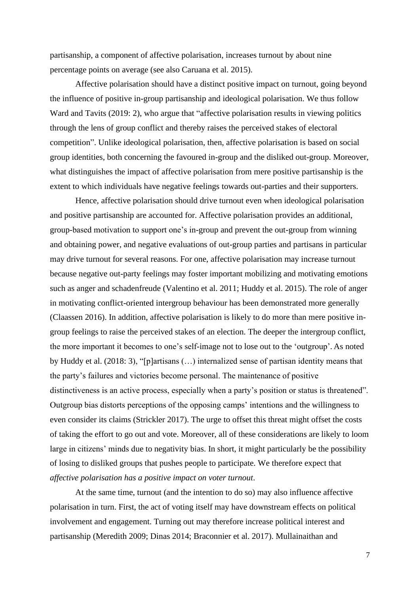partisanship, a component of affective polarisation, increases turnout by about nine percentage points on average (see also Caruana et al. 2015).

Affective polarisation should have a distinct positive impact on turnout, going beyond the influence of positive in-group partisanship and ideological polarisation. We thus follow Ward and Tavits (2019: 2), who argue that "affective polarisation results in viewing politics through the lens of group conflict and thereby raises the perceived stakes of electoral competition". Unlike ideological polarisation, then, affective polarisation is based on social group identities, both concerning the favoured in-group and the disliked out-group. Moreover, what distinguishes the impact of affective polarisation from mere positive partisanship is the extent to which individuals have negative feelings towards out-parties and their supporters.

Hence, affective polarisation should drive turnout even when ideological polarisation and positive partisanship are accounted for. Affective polarisation provides an additional, group-based motivation to support one's in-group and prevent the out-group from winning and obtaining power, and negative evaluations of out-group parties and partisans in particular may drive turnout for several reasons. For one, affective polarisation may increase turnout because negative out-party feelings may foster important mobilizing and motivating emotions such as anger and schadenfreude (Valentino et al. 2011; Huddy et al. 2015). The role of anger in motivating conflict-oriented intergroup behaviour has been demonstrated more generally (Claassen 2016). In addition, affective polarisation is likely to do more than mere positive ingroup feelings to raise the perceived stakes of an election. The deeper the intergroup conflict, the more important it becomes to one's self-image not to lose out to the 'outgroup'. As noted by Huddy et al. (2018: 3), "[p]artisans (…) internalized sense of partisan identity means that the party's failures and victories become personal. The maintenance of positive distinctiveness is an active process, especially when a party's position or status is threatened". Outgroup bias distorts perceptions of the opposing camps' intentions and the willingness to even consider its claims (Strickler 2017). The urge to offset this threat might offset the costs of taking the effort to go out and vote. Moreover, all of these considerations are likely to loom large in citizens' minds due to negativity bias. In short, it might particularly be the possibility of losing to disliked groups that pushes people to participate. We therefore expect that *affective polarisation has a positive impact on voter turnout*.

At the same time, turnout (and the intention to do so) may also influence affective polarisation in turn. First, the act of voting itself may have downstream effects on political involvement and engagement. Turning out may therefore increase political interest and partisanship (Meredith 2009; Dinas 2014; Braconnier et al. 2017). Mullainaithan and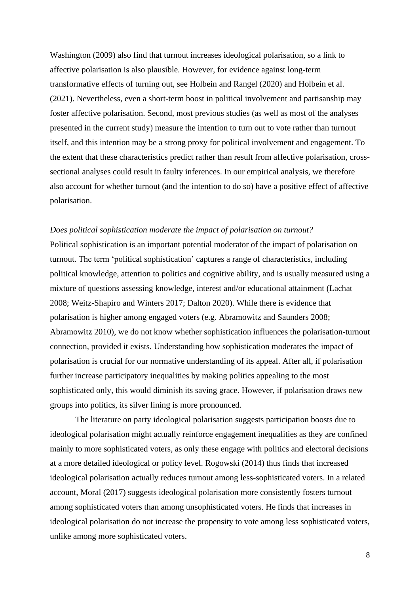Washington (2009) also find that turnout increases ideological polarisation, so a link to affective polarisation is also plausible. However, for evidence against long-term transformative effects of turning out, see Holbein and Rangel (2020) and Holbein et al. (2021). Nevertheless, even a short-term boost in political involvement and partisanship may foster affective polarisation. Second, most previous studies (as well as most of the analyses presented in the current study) measure the intention to turn out to vote rather than turnout itself, and this intention may be a strong proxy for political involvement and engagement. To the extent that these characteristics predict rather than result from affective polarisation, crosssectional analyses could result in faulty inferences. In our empirical analysis, we therefore also account for whether turnout (and the intention to do so) have a positive effect of affective polarisation.

#### *Does political sophistication moderate the impact of polarisation on turnout?*

Political sophistication is an important potential moderator of the impact of polarisation on turnout. The term 'political sophistication' captures a range of characteristics, including political knowledge, attention to politics and cognitive ability, and is usually measured using a mixture of questions assessing knowledge, interest and/or educational attainment (Lachat 2008; Weitz-Shapiro and Winters 2017; Dalton 2020). While there is evidence that polarisation is higher among engaged voters (e.g. Abramowitz and Saunders 2008; Abramowitz 2010), we do not know whether sophistication influences the polarisation-turnout connection, provided it exists. Understanding how sophistication moderates the impact of polarisation is crucial for our normative understanding of its appeal. After all, if polarisation further increase participatory inequalities by making politics appealing to the most sophisticated only, this would diminish its saving grace. However, if polarisation draws new groups into politics, its silver lining is more pronounced.

The literature on party ideological polarisation suggests participation boosts due to ideological polarisation might actually reinforce engagement inequalities as they are confined mainly to more sophisticated voters, as only these engage with politics and electoral decisions at a more detailed ideological or policy level. Rogowski (2014) thus finds that increased ideological polarisation actually reduces turnout among less-sophisticated voters. In a related account, Moral (2017) suggests ideological polarisation more consistently fosters turnout among sophisticated voters than among unsophisticated voters. He finds that increases in ideological polarisation do not increase the propensity to vote among less sophisticated voters, unlike among more sophisticated voters.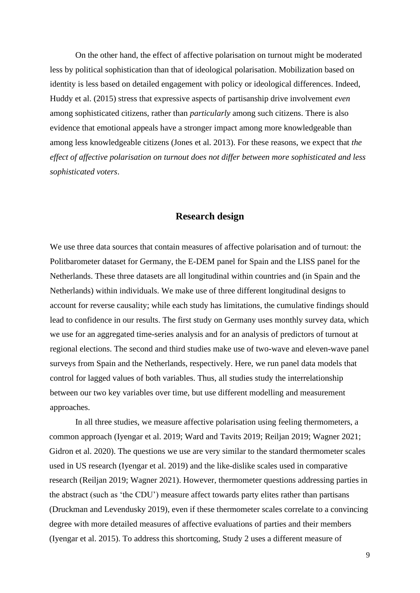On the other hand, the effect of affective polarisation on turnout might be moderated less by political sophistication than that of ideological polarisation. Mobilization based on identity is less based on detailed engagement with policy or ideological differences. Indeed, Huddy et al. (2015) stress that expressive aspects of partisanship drive involvement *even* among sophisticated citizens, rather than *particularly* among such citizens. There is also evidence that emotional appeals have a stronger impact among more knowledgeable than among less knowledgeable citizens (Jones et al. 2013). For these reasons, we expect that *the effect of affective polarisation on turnout does not differ between more sophisticated and less sophisticated voters*.

## **Research design**

We use three data sources that contain measures of affective polarisation and of turnout: the Politbarometer dataset for Germany, the E-DEM panel for Spain and the LISS panel for the Netherlands. These three datasets are all longitudinal within countries and (in Spain and the Netherlands) within individuals. We make use of three different longitudinal designs to account for reverse causality; while each study has limitations, the cumulative findings should lead to confidence in our results. The first study on Germany uses monthly survey data, which we use for an aggregated time-series analysis and for an analysis of predictors of turnout at regional elections. The second and third studies make use of two-wave and eleven-wave panel surveys from Spain and the Netherlands, respectively. Here, we run panel data models that control for lagged values of both variables. Thus, all studies study the interrelationship between our two key variables over time, but use different modelling and measurement approaches.

In all three studies, we measure affective polarisation using feeling thermometers, a common approach (Iyengar et al. 2019; Ward and Tavits 2019; Reiljan 2019; Wagner 2021; Gidron et al. 2020). The questions we use are very similar to the standard thermometer scales used in US research (Iyengar et al. 2019) and the like-dislike scales used in comparative research (Reiljan 2019; Wagner 2021). However, thermometer questions addressing parties in the abstract (such as 'the CDU') measure affect towards party elites rather than partisans (Druckman and Levendusky 2019), even if these thermometer scales correlate to a convincing degree with more detailed measures of affective evaluations of parties and their members (Iyengar et al. 2015). To address this shortcoming, Study 2 uses a different measure of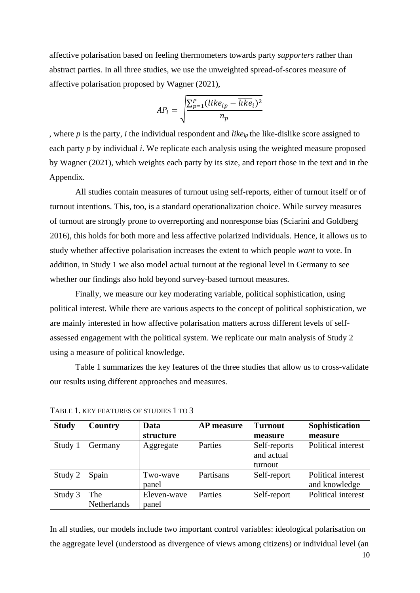affective polarisation based on feeling thermometers towards party *supporters* rather than abstract parties. In all three studies, we use the unweighted spread-of-scores measure of affective polarisation proposed by Wagner (2021),

$$
AP_i = \sqrt{\frac{\sum_{p=1}^{P} (like_{ip} - \overline{like}_i)^2}{n_p}}
$$

, where *p* is the party, *i* the individual respondent and *likeip* the like-dislike score assigned to each party *p* by individual *i*. We replicate each analysis using the weighted measure proposed by Wagner (2021), which weights each party by its size, and report those in the text and in the Appendix.

All studies contain measures of turnout using self-reports, either of turnout itself or of turnout intentions. This, too, is a standard operationalization choice. While survey measures of turnout are strongly prone to overreporting and nonresponse bias (Sciarini and Goldberg 2016), this holds for both more and less affective polarized individuals. Hence, it allows us to study whether affective polarisation increases the extent to which people *want* to vote. In addition, in Study 1 we also model actual turnout at the regional level in Germany to see whether our findings also hold beyond survey-based turnout measures.

Finally, we measure our key moderating variable, political sophistication, using political interest. While there are various aspects to the concept of political sophistication, we are mainly interested in how affective polarisation matters across different levels of selfassessed engagement with the political system. We replicate our main analysis of Study 2 using a measure of political knowledge.

Table 1 summarizes the key features of the three studies that allow us to cross-validate our results using different approaches and measures.

| <b>Study</b> | Country     | Data        | <b>AP</b> measure | <b>Turnout</b> | Sophistication     |
|--------------|-------------|-------------|-------------------|----------------|--------------------|
|              |             | structure   |                   | measure        | measure            |
| Study 1      | Germany     | Aggregate   | Parties           | Self-reports   | Political interest |
|              |             |             |                   | and actual     |                    |
|              |             |             |                   | turnout        |                    |
| Study 2      | Spain       | Two-wave    | Partisans         | Self-report    | Political interest |
|              |             | panel       |                   |                | and knowledge      |
| Study 3      | The         | Eleven-wave | Parties           | Self-report    | Political interest |
|              | Netherlands | panel       |                   |                |                    |

TABLE 1. KEY FEATURES OF STUDIES 1 TO 3

In all studies, our models include two important control variables: ideological polarisation on the aggregate level (understood as divergence of views among citizens) or individual level (an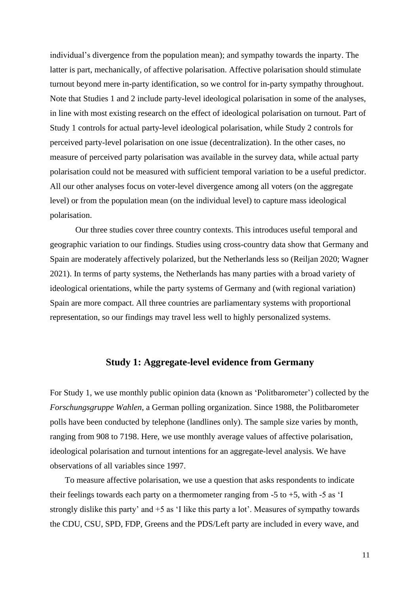individual's divergence from the population mean); and sympathy towards the inparty. The latter is part, mechanically, of affective polarisation. Affective polarisation should stimulate turnout beyond mere in-party identification, so we control for in-party sympathy throughout. Note that Studies 1 and 2 include party-level ideological polarisation in some of the analyses, in line with most existing research on the effect of ideological polarisation on turnout. Part of Study 1 controls for actual party-level ideological polarisation, while Study 2 controls for perceived party-level polarisation on one issue (decentralization). In the other cases, no measure of perceived party polarisation was available in the survey data, while actual party polarisation could not be measured with sufficient temporal variation to be a useful predictor. All our other analyses focus on voter-level divergence among all voters (on the aggregate level) or from the population mean (on the individual level) to capture mass ideological polarisation.

Our three studies cover three country contexts. This introduces useful temporal and geographic variation to our findings. Studies using cross-country data show that Germany and Spain are moderately affectively polarized, but the Netherlands less so (Reiljan 2020; Wagner 2021). In terms of party systems, the Netherlands has many parties with a broad variety of ideological orientations, while the party systems of Germany and (with regional variation) Spain are more compact. All three countries are parliamentary systems with proportional representation, so our findings may travel less well to highly personalized systems.

#### **Study 1: Aggregate-level evidence from Germany**

For Study 1, we use monthly public opinion data (known as 'Politbarometer') collected by the *Forschungsgruppe Wahlen*, a German polling organization. Since 1988, the Politbarometer polls have been conducted by telephone (landlines only). The sample size varies by month, ranging from 908 to 7198. Here, we use monthly average values of affective polarisation, ideological polarisation and turnout intentions for an aggregate-level analysis. We have observations of all variables since 1997.

To measure affective polarisation, we use a question that asks respondents to indicate their feelings towards each party on a thermometer ranging from  $-5$  to  $+5$ , with  $-5$  as 'I strongly dislike this party' and +5 as 'I like this party a lot'. Measures of sympathy towards the CDU, CSU, SPD, FDP, Greens and the PDS/Left party are included in every wave, and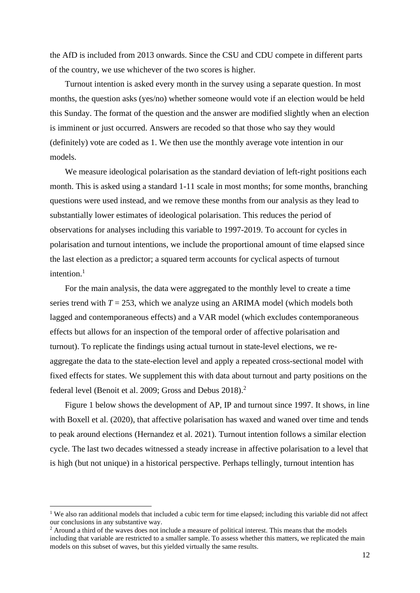the AfD is included from 2013 onwards. Since the CSU and CDU compete in different parts of the country, we use whichever of the two scores is higher.

Turnout intention is asked every month in the survey using a separate question. In most months, the question asks (yes/no) whether someone would vote if an election would be held this Sunday. The format of the question and the answer are modified slightly when an election is imminent or just occurred. Answers are recoded so that those who say they would (definitely) vote are coded as 1. We then use the monthly average vote intention in our models.

We measure ideological polarisation as the standard deviation of left-right positions each month. This is asked using a standard 1-11 scale in most months; for some months, branching questions were used instead, and we remove these months from our analysis as they lead to substantially lower estimates of ideological polarisation. This reduces the period of observations for analyses including this variable to 1997-2019. To account for cycles in polarisation and turnout intentions, we include the proportional amount of time elapsed since the last election as a predictor; a squared term accounts for cyclical aspects of turnout intention.<sup>1</sup>

For the main analysis, the data were aggregated to the monthly level to create a time series trend with  $T = 253$ , which we analyze using an ARIMA model (which models both lagged and contemporaneous effects) and a VAR model (which excludes contemporaneous effects but allows for an inspection of the temporal order of affective polarisation and turnout). To replicate the findings using actual turnout in state-level elections, we reaggregate the data to the state-election level and apply a repeated cross-sectional model with fixed effects for states. We supplement this with data about turnout and party positions on the federal level (Benoit et al. 2009; Gross and Debus 2018).<sup>2</sup>

Figure 1 below shows the development of AP, IP and turnout since 1997. It shows, in line with Boxell et al. (2020), that affective polarisation has waxed and waned over time and tends to peak around elections (Hernandez et al. 2021). Turnout intention follows a similar election cycle. The last two decades witnessed a steady increase in affective polarisation to a level that is high (but not unique) in a historical perspective. Perhaps tellingly, turnout intention has

<sup>&</sup>lt;sup>1</sup> We also ran additional models that included a cubic term for time elapsed; including this variable did not affect our conclusions in any substantive way.

<sup>&</sup>lt;sup>2</sup> Around a third of the waves does not include a measure of political interest. This means that the models including that variable are restricted to a smaller sample. To assess whether this matters, we replicated the main models on this subset of waves, but this yielded virtually the same results.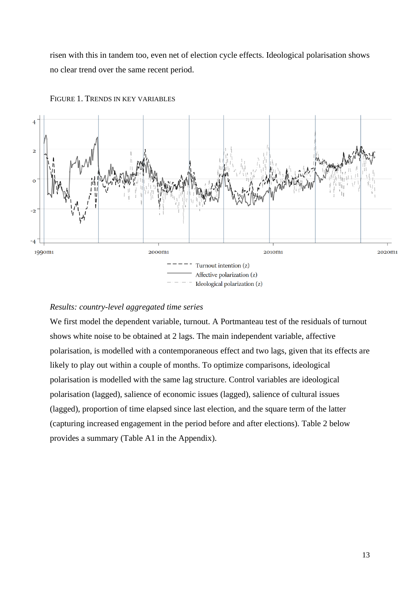risen with this in tandem too, even net of election cycle effects. Ideological polarisation shows no clear trend over the same recent period.



FIGURE 1. TRENDS IN KEY VARIABLES

## *Results: country-level aggregated time series*

We first model the dependent variable, turnout. A Portmanteau test of the residuals of turnout shows white noise to be obtained at 2 lags. The main independent variable, affective polarisation, is modelled with a contemporaneous effect and two lags, given that its effects are likely to play out within a couple of months. To optimize comparisons, ideological polarisation is modelled with the same lag structure. Control variables are ideological polarisation (lagged), salience of economic issues (lagged), salience of cultural issues (lagged), proportion of time elapsed since last election, and the square term of the latter (capturing increased engagement in the period before and after elections). Table 2 below provides a summary (Table A1 in the Appendix).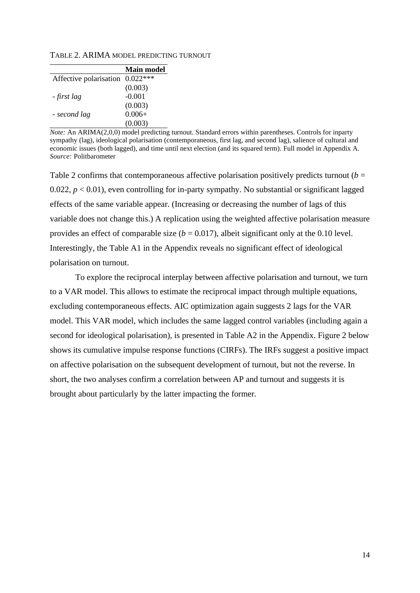|  | TABLE 2. ARIMA MODEL PREDICTING TURNOUT |  |
|--|-----------------------------------------|--|
|  |                                         |  |

|                                 | <b>Main model</b> |
|---------------------------------|-------------------|
| Affective polarisation 0.022*** |                   |
|                                 | (0.003)           |
| - first lag                     | $-0.001$          |
|                                 | (0.003)           |
| - second lag                    | $0.006+$          |
|                                 | (0.003)           |

*Note:* An ARIMA(2,0,0) model predicting turnout. Standard errors within parentheses. Controls for inparty sympathy (lag), ideological polarisation (contemporaneous, first lag, and second lag), salience of cultural and economic issues (both lagged), and time until next election (and its squared term). Full model in Appendix A. *Source:* Politbarometer

Table 2 confirms that contemporaneous affective polarisation positively predicts turnout  $(b =$ 0.022,  $p < 0.01$ ), even controlling for in-party sympathy. No substantial or significant lagged effects of the same variable appear. (Increasing or decreasing the number of lags of this variable does not change this.) A replication using the weighted affective polarisation measure provides an effect of comparable size  $(b = 0.017)$ , albeit significant only at the 0.10 level. Interestingly, the Table A1 in the Appendix reveals no significant effect of ideological polarisation on turnout.

To explore the reciprocal interplay between affective polarisation and turnout, we turn to a VAR model. This allows to estimate the reciprocal impact through multiple equations, excluding contemporaneous effects. AIC optimization again suggests 2 lags for the VAR model. This VAR model, which includes the same lagged control variables (including again a second for ideological polarisation), is presented in Table A2 in the Appendix. Figure 2 below shows its cumulative impulse response functions (CIRFs). The IRFs suggest a positive impact on affective polarisation on the subsequent development of turnout, but not the reverse. In short, the two analyses confirm a correlation between AP and turnout and suggests it is brought about particularly by the latter impacting the former.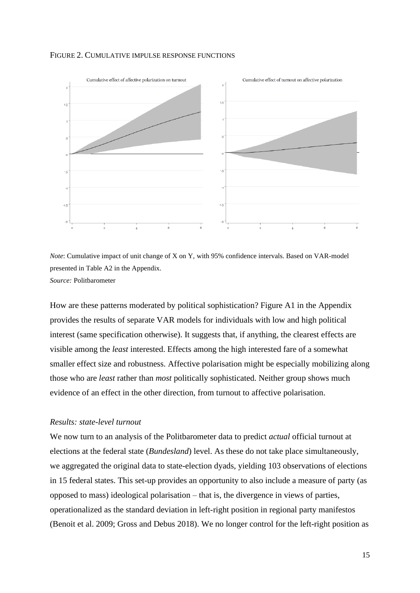#### FIGURE 2. CUMULATIVE IMPULSE RESPONSE FUNCTIONS



*Note*: Cumulative impact of unit change of X on Y, with 95% confidence intervals. Based on VAR-model presented in Table A2 in the Appendix. *Source:* Politbarometer

How are these patterns moderated by political sophistication? Figure A1 in the Appendix provides the results of separate VAR models for individuals with low and high political interest (same specification otherwise). It suggests that, if anything, the clearest effects are visible among the *least* interested. Effects among the high interested fare of a somewhat smaller effect size and robustness. Affective polarisation might be especially mobilizing along those who are *least* rather than *most* politically sophisticated. Neither group shows much evidence of an effect in the other direction, from turnout to affective polarisation.

#### *Results: state-level turnout*

We now turn to an analysis of the Politbarometer data to predict *actual* official turnout at elections at the federal state (*Bundesland*) level. As these do not take place simultaneously, we aggregated the original data to state-election dyads, yielding 103 observations of elections in 15 federal states. This set-up provides an opportunity to also include a measure of party (as opposed to mass) ideological polarisation – that is, the divergence in views of parties, operationalized as the standard deviation in left-right position in regional party manifestos (Benoit et al. 2009; Gross and Debus 2018). We no longer control for the left-right position as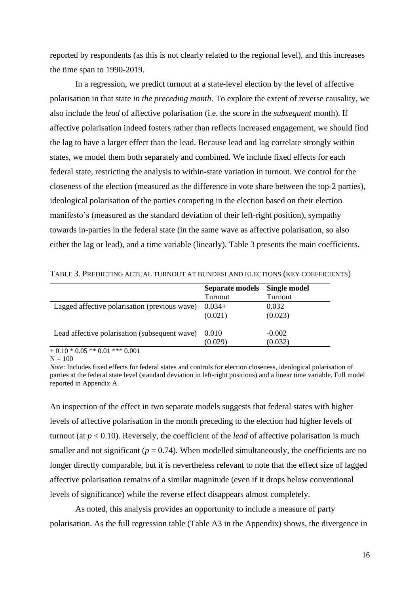reported by respondents (as this is not clearly related to the regional level), and this increases the time span to 1990-2019.

In a regression, we predict turnout at a state-level election by the level of affective polarisation in that state *in the preceding month*. To explore the extent of reverse causality, we also include the *lead* of affective polarisation (i.e. the score in the *subsequent* month). If affective polarisation indeed fosters rather than reflects increased engagement, we should find the lag to have a larger effect than the lead. Because lead and lag correlate strongly within states, we model them both separately and combined. We include fixed effects for each federal state, restricting the analysis to within-state variation in turnout. We control for the closeness of the election (measured as the difference in vote share between the top-2 parties), ideological polarisation of the parties competing in the election based on their election manifesto's (measured as the standard deviation of their left-right position), sympathy towards in-parties in the federal state (in the same wave as affective polarisation, so also either the lag or lead), and a time variable (linearly). Table 3 presents the main coefficients.

|                                               | Separate models | Single model |
|-----------------------------------------------|-----------------|--------------|
|                                               | Turnout         | Turnout      |
| Lagged affective polarisation (previous wave) | $0.034+$        | 0.032        |
|                                               | (0.021)         | (0.023)      |
| Lead affective polarisation (subsequent wave) | 0.010           | $-0.002$     |
|                                               | 0.029           | (0.032)      |

TABLE 3. PREDICTING ACTUAL TURNOUT AT BUNDESLAND ELECTIONS (KEY COEFFICIENTS)

 $+0.10 * 0.05 ** 0.01 *** 0.001$ 

 $N = 100$ 

*Note*: Includes fixed effects for federal states and controls for election closeness, ideological polarisation of parties at the federal state level (standard deviation in left-right positions) and a linear time variable. Full model reported in Appendix A.

An inspection of the effect in two separate models suggests that federal states with higher levels of affective polarisation in the month preceding to the election had higher levels of turnout (at *p* < 0.10). Reversely, the coefficient of the *lead* of affective polarisation is much smaller and not significant  $(p = 0.74)$ . When modelled simultaneously, the coefficients are no longer directly comparable, but it is nevertheless relevant to note that the effect size of lagged affective polarisation remains of a similar magnitude (even if it drops below conventional levels of significance) while the reverse effect disappears almost completely.

As noted, this analysis provides an opportunity to include a measure of party polarisation. As the full regression table (Table A3 in the Appendix) shows, the divergence in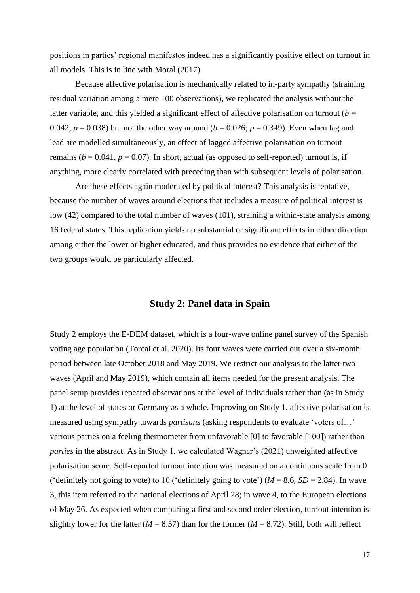positions in parties' regional manifestos indeed has a significantly positive effect on turnout in all models. This is in line with Moral (2017).

Because affective polarisation is mechanically related to in-party sympathy (straining residual variation among a mere 100 observations), we replicated the analysis without the latter variable, and this yielded a significant effect of affective polarisation on turnout (*b =*  0.042;  $p = 0.038$ ) but not the other way around ( $b = 0.026$ ;  $p = 0.349$ ). Even when lag and lead are modelled simultaneously, an effect of lagged affective polarisation on turnout remains ( $b = 0.041$ ,  $p = 0.07$ ). In short, actual (as opposed to self-reported) turnout is, if anything, more clearly correlated with preceding than with subsequent levels of polarisation.

Are these effects again moderated by political interest? This analysis is tentative, because the number of waves around elections that includes a measure of political interest is low (42) compared to the total number of waves (101), straining a within-state analysis among 16 federal states. This replication yields no substantial or significant effects in either direction among either the lower or higher educated, and thus provides no evidence that either of the two groups would be particularly affected.

#### **Study 2: Panel data in Spain**

Study 2 employs the E-DEM dataset, which is a four-wave online panel survey of the Spanish voting age population (Torcal et al. 2020). Its four waves were carried out over a six-month period between late October 2018 and May 2019. We restrict our analysis to the latter two waves (April and May 2019), which contain all items needed for the present analysis. The panel setup provides repeated observations at the level of individuals rather than (as in Study 1) at the level of states or Germany as a whole. Improving on Study 1, affective polarisation is measured using sympathy towards *partisans* (asking respondents to evaluate 'voters of…' various parties on a feeling thermometer from unfavorable [0] to favorable [100]) rather than *parties* in the abstract. As in Study 1, we calculated Wagner's (2021) unweighted affective polarisation score. Self-reported turnout intention was measured on a continuous scale from 0 ('definitely not going to vote) to 10 ('definitely going to vote') ( $M = 8.6$ ,  $SD = 2.84$ ). In wave 3, this item referred to the national elections of April 28; in wave 4, to the European elections of May 26. As expected when comparing a first and second order election, turnout intention is slightly lower for the latter ( $M = 8.57$ ) than for the former ( $M = 8.72$ ). Still, both will reflect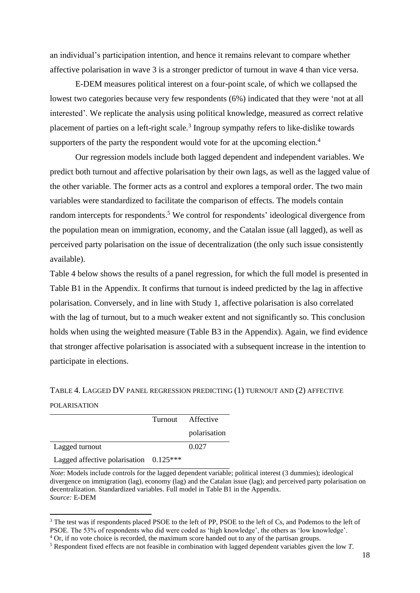an individual's participation intention, and hence it remains relevant to compare whether affective polarisation in wave 3 is a stronger predictor of turnout in wave 4 than vice versa.

E-DEM measures political interest on a four-point scale, of which we collapsed the lowest two categories because very few respondents (6%) indicated that they were 'not at all interested'. We replicate the analysis using political knowledge, measured as correct relative placement of parties on a left-right scale.<sup>3</sup> Ingroup sympathy refers to like-dislike towards supporters of the party the respondent would vote for at the upcoming election.<sup>4</sup>

Our regression models include both lagged dependent and independent variables. We predict both turnout and affective polarisation by their own lags, as well as the lagged value of the other variable. The former acts as a control and explores a temporal order. The two main variables were standardized to facilitate the comparison of effects. The models contain random intercepts for respondents.<sup>5</sup> We control for respondents' ideological divergence from the population mean on immigration, economy, and the Catalan issue (all lagged), as well as perceived party polarisation on the issue of decentralization (the only such issue consistently available).

Table 4 below shows the results of a panel regression, for which the full model is presented in Table B1 in the Appendix. It confirms that turnout is indeed predicted by the lag in affective polarisation. Conversely, and in line with Study 1, affective polarisation is also correlated with the lag of turnout, but to a much weaker extent and not significantly so. This conclusion holds when using the weighted measure (Table B3 in the Appendix). Again, we find evidence that stronger affective polarisation is associated with a subsequent increase in the intention to participate in elections.

TABLE 4. LAGGED DV PANEL REGRESSION PREDICTING (1) TURNOUT AND (2) AFFECTIVE

#### POLARISATION

|                                          | Turnout Affective |
|------------------------------------------|-------------------|
|                                          | polarisation      |
| Lagged turnout                           | 0.027             |
| Lagged affective polarisation $0.125***$ |                   |

*Note*: Models include controls for the lagged dependent variable; political interest (3 dummies); ideological divergence on immigration (lag), economy (lag) and the Catalan issue (lag); and perceived party polarisation on decentralization. Standardized variables. Full model in Table B1 in the Appendix. *Source:* E-DEM

<sup>4</sup> Or, if no vote choice is recorded, the maximum score handed out to any of the partisan groups.

<sup>&</sup>lt;sup>3</sup> The test was if respondents placed PSOE to the left of PP, PSOE to the left of Cs, and Podemos to the left of PSOE. The 53% of respondents who did were coded as 'high knowledge', the others as 'low knowledge'.

<sup>5</sup> Respondent fixed effects are not feasible in combination with lagged dependent variables given the low *T*.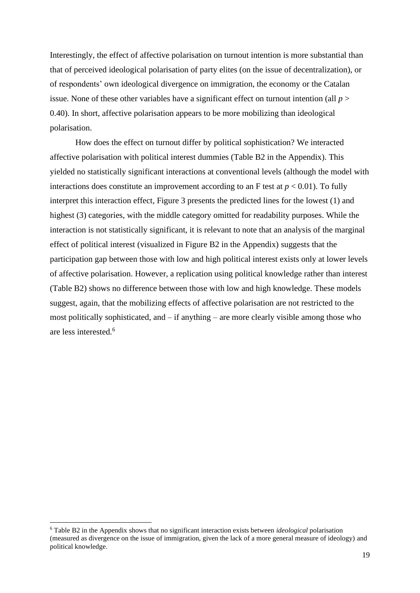Interestingly, the effect of affective polarisation on turnout intention is more substantial than that of perceived ideological polarisation of party elites (on the issue of decentralization), or of respondents' own ideological divergence on immigration, the economy or the Catalan issue. None of these other variables have a significant effect on turnout intention (all *p* > 0.40). In short, affective polarisation appears to be more mobilizing than ideological polarisation.

How does the effect on turnout differ by political sophistication? We interacted affective polarisation with political interest dummies (Table B2 in the Appendix). This yielded no statistically significant interactions at conventional levels (although the model with interactions does constitute an improvement according to an F test at  $p < 0.01$ ). To fully interpret this interaction effect, Figure 3 presents the predicted lines for the lowest (1) and highest (3) categories, with the middle category omitted for readability purposes. While the interaction is not statistically significant, it is relevant to note that an analysis of the marginal effect of political interest (visualized in Figure B2 in the Appendix) suggests that the participation gap between those with low and high political interest exists only at lower levels of affective polarisation. However, a replication using political knowledge rather than interest (Table B2) shows no difference between those with low and high knowledge. These models suggest, again, that the mobilizing effects of affective polarisation are not restricted to the most politically sophisticated, and – if anything – are more clearly visible among those who are less interested. 6

<sup>6</sup> Table B2 in the Appendix shows that no significant interaction exists between *ideological* polarisation (measured as divergence on the issue of immigration, given the lack of a more general measure of ideology) and political knowledge.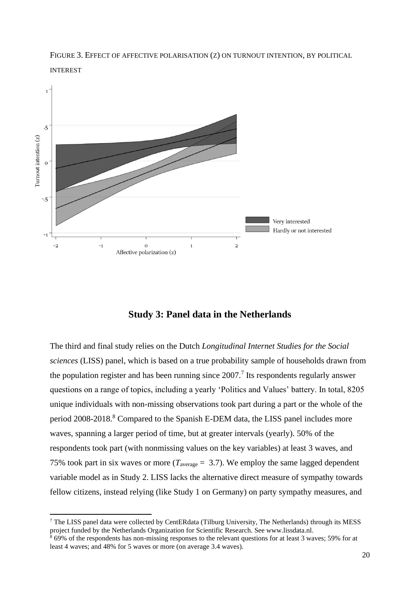



## **Study 3: Panel data in the Netherlands**

The third and final study relies on the Dutch *Longitudinal Internet Studies for the Social sciences* (LISS) panel, which is based on a true probability sample of households drawn from the population register and has been running since  $2007$ .<sup>7</sup> Its respondents regularly answer questions on a range of topics, including a yearly 'Politics and Values' battery. In total, 8205 unique individuals with non-missing observations took part during a part or the whole of the period 2008-2018.<sup>8</sup> Compared to the Spanish E-DEM data, the LISS panel includes more waves, spanning a larger period of time, but at greater intervals (yearly). 50% of the respondents took part (with nonmissing values on the key variables) at least 3 waves, and 75% took part in six waves or more ( $T_{\text{average}} = 3.7$ ). We employ the same lagged dependent variable model as in Study 2. LISS lacks the alternative direct measure of sympathy towards fellow citizens, instead relying (like Study 1 on Germany) on party sympathy measures, and

<sup>7</sup> The LISS panel data were collected by CentERdata (Tilburg University, The Netherlands) through its MESS project funded by the Netherlands Organization for Scientific Research. See www.lissdata.nl.

 $\frac{8}{8}$  69% of the respondents has non-missing responses to the relevant questions for at least 3 waves; 59% for at least 4 waves; and 48% for 5 waves or more (on average 3.4 waves).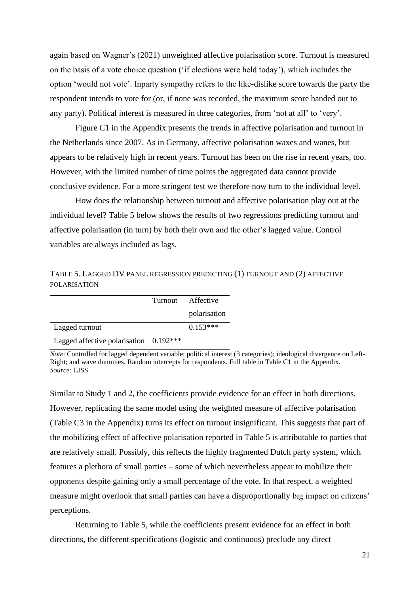again based on Wagner's (2021) unweighted affective polarisation score. Turnout is measured on the basis of a vote choice question ('if elections were held today'), which includes the option 'would not vote'. Inparty sympathy refers to the like-dislike score towards the party the respondent intends to vote for (or, if none was recorded, the maximum score handed out to any party). Political interest is measured in three categories, from 'not at all' to 'very'.

Figure C1 in the Appendix presents the trends in affective polarisation and turnout in the Netherlands since 2007. As in Germany, affective polarisation waxes and wanes, but appears to be relatively high in recent years. Turnout has been on the rise in recent years, too. However, with the limited number of time points the aggregated data cannot provide conclusive evidence. For a more stringent test we therefore now turn to the individual level.

How does the relationship between turnout and affective polarisation play out at the individual level? Table 5 below shows the results of two regressions predicting turnout and affective polarisation (in turn) by both their own and the other's lagged value. Control variables are always included as lags.

TABLE 5. LAGGED DV PANEL REGRESSION PREDICTING (1) TURNOUT AND (2) AFFECTIVE POLARISATION

|                                          | Turnout Affective |
|------------------------------------------|-------------------|
|                                          | polarisation      |
| Lagged turnout                           | $0.153***$        |
| Lagged affective polarisation $0.192***$ |                   |

*Note*: Controlled for lagged dependent variable; political interest (3 categories); ideological divergence on Left-Right; and wave dummies. Random intercepts for respondents. Full table in Table C1 in the Appendix. *Source:* LISS

Similar to Study 1 and 2, the coefficients provide evidence for an effect in both directions. However, replicating the same model using the weighted measure of affective polarisation (Table C3 in the Appendix) turns its effect on turnout insignificant. This suggests that part of the mobilizing effect of affective polarisation reported in Table 5 is attributable to parties that are relatively small. Possibly, this reflects the highly fragmented Dutch party system, which features a plethora of small parties – some of which nevertheless appear to mobilize their opponents despite gaining only a small percentage of the vote. In that respect, a weighted measure might overlook that small parties can have a disproportionally big impact on citizens' perceptions.

Returning to Table 5, while the coefficients present evidence for an effect in both directions, the different specifications (logistic and continuous) preclude any direct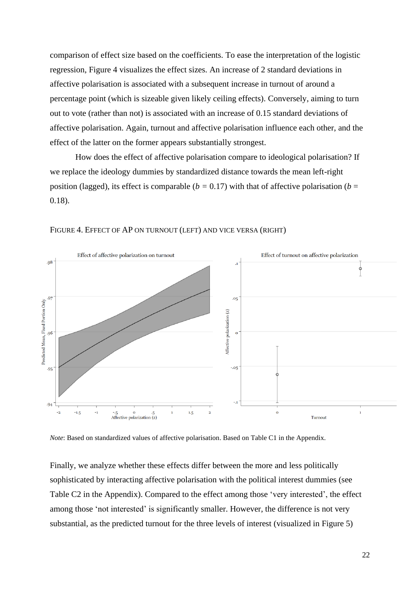comparison of effect size based on the coefficients. To ease the interpretation of the logistic regression, Figure 4 visualizes the effect sizes. An increase of 2 standard deviations in affective polarisation is associated with a subsequent increase in turnout of around a percentage point (which is sizeable given likely ceiling effects). Conversely, aiming to turn out to vote (rather than not) is associated with an increase of 0.15 standard deviations of affective polarisation. Again, turnout and affective polarisation influence each other, and the effect of the latter on the former appears substantially strongest.

How does the effect of affective polarisation compare to ideological polarisation? If we replace the ideology dummies by standardized distance towards the mean left-right position (lagged), its effect is comparable ( $b = 0.17$ ) with that of affective polarisation ( $b =$ 0.18).



#### FIGURE 4. EFFECT OF AP ON TURNOUT (LEFT) AND VICE VERSA (RIGHT)

*Note*: Based on standardized values of affective polarisation. Based on Table C1 in the Appendix.

Finally, we analyze whether these effects differ between the more and less politically sophisticated by interacting affective polarisation with the political interest dummies (see Table C2 in the Appendix). Compared to the effect among those 'very interested', the effect among those 'not interested' is significantly smaller. However, the difference is not very substantial, as the predicted turnout for the three levels of interest (visualized in Figure 5)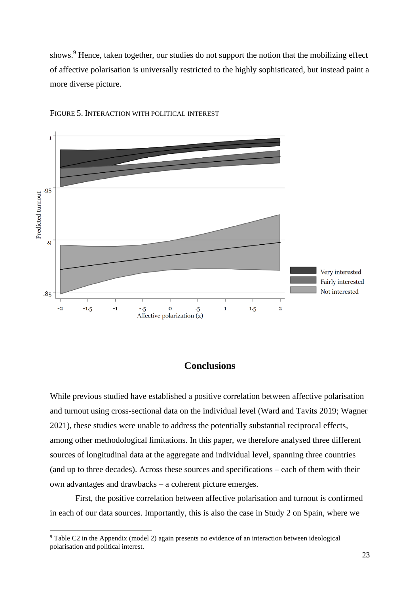shows.<sup>9</sup> Hence, taken together, our studies do not support the notion that the mobilizing effect of affective polarisation is universally restricted to the highly sophisticated, but instead paint a more diverse picture.



FIGURE 5. INTERACTION WITH POLITICAL INTEREST

#### **Conclusions**

While previous studied have established a positive correlation between affective polarisation and turnout using cross-sectional data on the individual level (Ward and Tavits 2019; Wagner 2021), these studies were unable to address the potentially substantial reciprocal effects, among other methodological limitations. In this paper, we therefore analysed three different sources of longitudinal data at the aggregate and individual level, spanning three countries (and up to three decades). Across these sources and specifications – each of them with their own advantages and drawbacks – a coherent picture emerges.

First, the positive correlation between affective polarisation and turnout is confirmed in each of our data sources. Importantly, this is also the case in Study 2 on Spain, where we

<sup>9</sup> Table C2 in the Appendix (model 2) again presents no evidence of an interaction between ideological polarisation and political interest.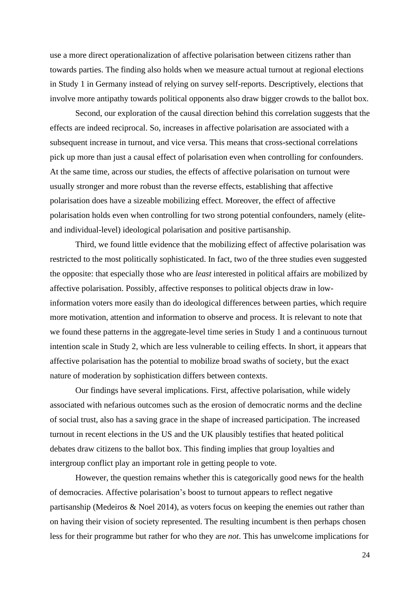use a more direct operationalization of affective polarisation between citizens rather than towards parties. The finding also holds when we measure actual turnout at regional elections in Study 1 in Germany instead of relying on survey self-reports. Descriptively, elections that involve more antipathy towards political opponents also draw bigger crowds to the ballot box.

Second, our exploration of the causal direction behind this correlation suggests that the effects are indeed reciprocal. So, increases in affective polarisation are associated with a subsequent increase in turnout, and vice versa. This means that cross-sectional correlations pick up more than just a causal effect of polarisation even when controlling for confounders. At the same time, across our studies, the effects of affective polarisation on turnout were usually stronger and more robust than the reverse effects, establishing that affective polarisation does have a sizeable mobilizing effect. Moreover, the effect of affective polarisation holds even when controlling for two strong potential confounders, namely (eliteand individual-level) ideological polarisation and positive partisanship.

Third, we found little evidence that the mobilizing effect of affective polarisation was restricted to the most politically sophisticated. In fact, two of the three studies even suggested the opposite: that especially those who are *least* interested in political affairs are mobilized by affective polarisation. Possibly, affective responses to political objects draw in lowinformation voters more easily than do ideological differences between parties, which require more motivation, attention and information to observe and process. It is relevant to note that we found these patterns in the aggregate-level time series in Study 1 and a continuous turnout intention scale in Study 2, which are less vulnerable to ceiling effects. In short, it appears that affective polarisation has the potential to mobilize broad swaths of society, but the exact nature of moderation by sophistication differs between contexts.

Our findings have several implications. First, affective polarisation, while widely associated with nefarious outcomes such as the erosion of democratic norms and the decline of social trust, also has a saving grace in the shape of increased participation. The increased turnout in recent elections in the US and the UK plausibly testifies that heated political debates draw citizens to the ballot box. This finding implies that group loyalties and intergroup conflict play an important role in getting people to vote.

However, the question remains whether this is categorically good news for the health of democracies. Affective polarisation's boost to turnout appears to reflect negative partisanship (Medeiros & Noel 2014), as voters focus on keeping the enemies out rather than on having their vision of society represented. The resulting incumbent is then perhaps chosen less for their programme but rather for who they are *not*. This has unwelcome implications for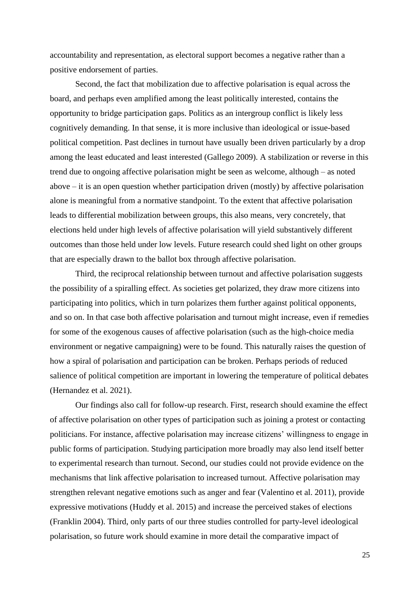accountability and representation, as electoral support becomes a negative rather than a positive endorsement of parties.

Second, the fact that mobilization due to affective polarisation is equal across the board, and perhaps even amplified among the least politically interested, contains the opportunity to bridge participation gaps. Politics as an intergroup conflict is likely less cognitively demanding. In that sense, it is more inclusive than ideological or issue-based political competition. Past declines in turnout have usually been driven particularly by a drop among the least educated and least interested (Gallego 2009). A stabilization or reverse in this trend due to ongoing affective polarisation might be seen as welcome, although – as noted above – it is an open question whether participation driven (mostly) by affective polarisation alone is meaningful from a normative standpoint. To the extent that affective polarisation leads to differential mobilization between groups, this also means, very concretely, that elections held under high levels of affective polarisation will yield substantively different outcomes than those held under low levels. Future research could shed light on other groups that are especially drawn to the ballot box through affective polarisation.

Third, the reciprocal relationship between turnout and affective polarisation suggests the possibility of a spiralling effect. As societies get polarized, they draw more citizens into participating into politics, which in turn polarizes them further against political opponents, and so on. In that case both affective polarisation and turnout might increase, even if remedies for some of the exogenous causes of affective polarisation (such as the high-choice media environment or negative campaigning) were to be found. This naturally raises the question of how a spiral of polarisation and participation can be broken. Perhaps periods of reduced salience of political competition are important in lowering the temperature of political debates (Hernandez et al. 2021).

Our findings also call for follow-up research. First, research should examine the effect of affective polarisation on other types of participation such as joining a protest or contacting politicians. For instance, affective polarisation may increase citizens' willingness to engage in public forms of participation. Studying participation more broadly may also lend itself better to experimental research than turnout. Second, our studies could not provide evidence on the mechanisms that link affective polarisation to increased turnout. Affective polarisation may strengthen relevant negative emotions such as anger and fear (Valentino et al. 2011), provide expressive motivations (Huddy et al. 2015) and increase the perceived stakes of elections (Franklin 2004). Third, only parts of our three studies controlled for party-level ideological polarisation, so future work should examine in more detail the comparative impact of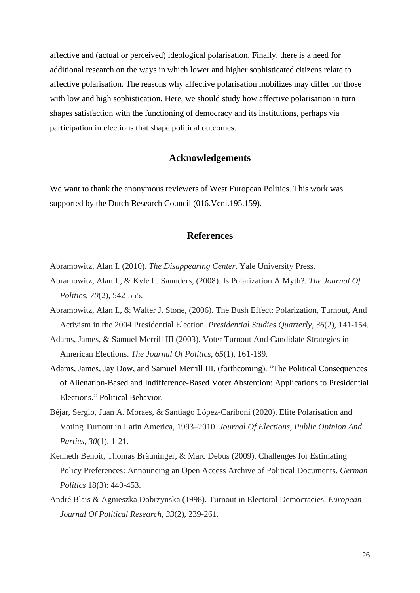affective and (actual or perceived) ideological polarisation. Finally, there is a need for additional research on the ways in which lower and higher sophisticated citizens relate to affective polarisation. The reasons why affective polarisation mobilizes may differ for those with low and high sophistication. Here, we should study how affective polarisation in turn shapes satisfaction with the functioning of democracy and its institutions, perhaps via participation in elections that shape political outcomes.

#### **Acknowledgements**

We want to thank the anonymous reviewers of West European Politics. This work was supported by the Dutch Research Council (016.Veni.195.159).

## **References**

- Abramowitz, Alan I. (2010). *The Disappearing Center*. Yale University Press.
- Abramowitz, Alan I., & Kyle L. Saunders, (2008). Is Polarization A Myth?. *The Journal Of Politics*, *70*(2), 542-555.
- Abramowitz, Alan I., & Walter J. Stone, (2006). The Bush Effect: Polarization, Turnout, And Activism in rhe 2004 Presidential Election. *Presidential Studies Quarterly*, *36*(2), 141-154.
- Adams, James, & Samuel Merrill III (2003). Voter Turnout And Candidate Strategies in American Elections. *The Journal Of Politics*, *65*(1), 161-189.
- Adams, James, Jay Dow, and Samuel Merrill III. (forthcoming). "The Political Consequences of Alienation-Based and Indifference-Based Voter Abstention: Applications to Presidential Elections." Political Behavior.
- Béjar, Sergio, Juan A. Moraes, & Santiago López-Cariboni (2020). Elite Polarisation and Voting Turnout in Latin America, 1993–2010. *Journal Of Elections, Public Opinion And Parties*, *30*(1), 1-21.
- Kenneth Benoit, Thomas Bräuninger, & Marc Debus (2009). Challenges for Estimating Policy Preferences: Announcing an Open Access Archive of Political Documents. *German Politics* 18(3): 440-453.
- André Blais & Agnieszka Dobrzynska (1998). Turnout in Electoral Democracies. *European Journal Of Political Research*, *33*(2), 239-261.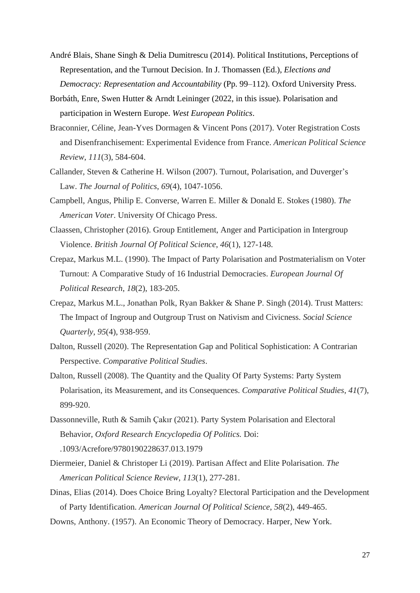- André Blais, Shane Singh & Delia Dumitrescu (2014). Political Institutions, Perceptions of Representation, and the Turnout Decision. In J. Thomassen (Ed.), *Elections and Democracy: Representation and Accountability* (Pp. 99–112). Oxford University Press.
- Borbáth, Enre, Swen Hutter & Arndt Leininger (2022, in this issue). Polarisation and participation in Western Europe. *West European Politics*.
- Braconnier, Céline, Jean-Yves Dormagen & Vincent Pons (2017). Voter Registration Costs and Disenfranchisement: Experimental Evidence from France. *American Political Science Review*, *111*(3), 584-604.
- Callander, Steven & Catherine H. Wilson (2007). Turnout, Polarisation, and Duverger's Law. *The Journal of Politics*, *69*(4), 1047-1056.
- Campbell, Angus, Philip E. Converse, Warren E. Miller & Donald E. Stokes (1980). *The American Voter*. University Of Chicago Press.
- Claassen, Christopher (2016). Group Entitlement, Anger and Participation in Intergroup Violence. *British Journal Of Political Science*, *46*(1), 127-148.
- Crepaz, Markus M.L. (1990). The Impact of Party Polarisation and Postmaterialism on Voter Turnout: A Comparative Study of 16 Industrial Democracies. *European Journal Of Political Research*, *18*(2), 183-205.
- Crepaz, Markus M.L., Jonathan Polk, Ryan Bakker & Shane P. Singh (2014). Trust Matters: The Impact of Ingroup and Outgroup Trust on Nativism and Civicness. *Social Science Quarterly*, *95*(4), 938-959.
- Dalton, Russell (2020). The Representation Gap and Political Sophistication: A Contrarian Perspective. *Comparative Political Studies*.
- Dalton, Russell (2008). The Quantity and the Quality Of Party Systems: Party System Polarisation, its Measurement, and its Consequences. *Comparative Political Studies*, *41*(7), 899-920.
- Dassonneville, Ruth & Samih Çakır (2021). Party System Polarisation and Electoral Behavior, *Oxford Research Encyclopedia Of Politics.* Doi: .1093/Acrefore/9780190228637.013.1979
- Diermeier, Daniel & Christoper Li (2019). Partisan Affect and Elite Polarisation. *The American Political Science Review*, *113*(1), 277-281.
- Dinas, Elias (2014). Does Choice Bring Loyalty? Electoral Participation and the Development of Party Identification. *American Journal Of Political Science*, *58*(2), 449-465.
- Downs, Anthony. (1957). An Economic Theory of Democracy. Harper, New York.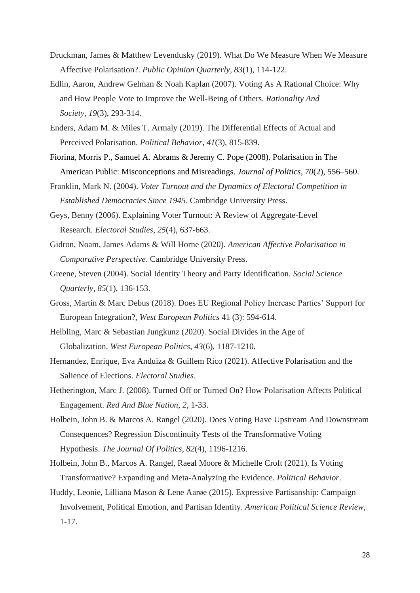- Druckman, James & Matthew Levendusky (2019). What Do We Measure When We Measure Affective Polarisation?. *Public Opinion Quarterly*, *83*(1), 114-122.
- Edlin, Aaron, Andrew Gelman & Noah Kaplan (2007). Voting As A Rational Choice: Why and How People Vote to Improve the Well-Being of Others. *Rationality And Society*, *19*(3), 293-314.
- Enders, Adam M. & Miles T. Armaly (2019). The Differential Effects of Actual and Perceived Polarisation. *Political Behavior*, *41*(3), 815-839.
- Fiorina, Morris P., Samuel A. Abrams & Jeremy C. Pope (2008). Polarisation in The American Public: Misconceptions and Misreadings. *Journal of Politics*, *70*(2), 556–560.
- Franklin, Mark N. (2004). *Voter Turnout and the Dynamics of Electoral Competition in Established Democracies Since 1945*. Cambridge University Press.
- Geys, Benny (2006). Explaining Voter Turnout: A Review of Aggregate-Level Research. *Electoral Studies*, *25*(4), 637-663.
- Gidron, Noam, James Adams & Will Horne (2020). *American Affective Polarisation in Comparative Perspective*. Cambridge University Press.
- Greene, Steven (2004). Social Identity Theory and Party Identification. *Social Science Quarterly*, *85*(1), 136-153.
- Gross, Martin & Marc Debus (2018). Does EU Regional Policy Increase Parties' Support for European Integration?, *West European Politics* 41 (3): 594-614.
- Helbling, Marc & Sebastian Jungkunz (2020). Social Divides in the Age of Globalization. *West European Politics*, *43*(6), 1187-1210.
- Hernandez, Enrique, Eva Anduiza & Guillem Rico (2021). Affective Polarisation and the Salience of Elections. *Electoral Studies*.
- Hetherington, Marc J. (2008). Turned Off or Turned On? How Polarisation Affects Political Engagement. *Red And Blue Nation*, *2*, 1-33.
- Holbein, John B. & Marcos A. Rangel (2020). Does Voting Have Upstream And Downstream Consequences? Regression Discontinuity Tests of the Transformative Voting Hypothesis. *The Journal Of Politics*, *82*(4), 1196-1216.
- Holbein, John B., Marcos A. Rangel, Raeal Moore & Michelle Croft (2021). Is Voting Transformative? Expanding and Meta-Analyzing the Evidence. *Political Behavior*.
- Huddy, Leonie, Lilliana Mason & Lene Aarøe (2015). Expressive Partisanship: Campaign Involvement, Political Emotion, and Partisan Identity. *American Political Science Review*, 1-17.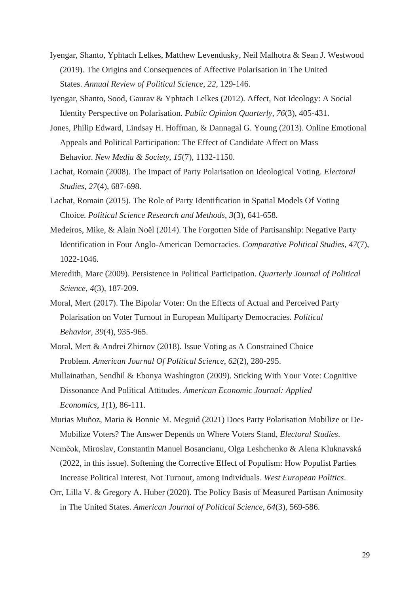- Iyengar, Shanto, Yphtach Lelkes, Matthew Levendusky, Neil Malhotra & Sean J. Westwood (2019). The Origins and Consequences of Affective Polarisation in The United States. *Annual Review of Political Science*, *22*, 129-146.
- Iyengar, Shanto, Sood, Gaurav & Yphtach Lelkes (2012). Affect, Not Ideology: A Social Identity Perspective on Polarisation. *Public Opinion Quarterly*, *76*(3), 405-431.
- Jones, Philip Edward, Lindsay H. Hoffman, & Dannagal G. Young (2013). Online Emotional Appeals and Political Participation: The Effect of Candidate Affect on Mass Behavior. *New Media & Society*, *15*(7), 1132-1150.
- Lachat, Romain (2008). The Impact of Party Polarisation on Ideological Voting. *Electoral Studies*, *27*(4), 687-698.
- Lachat, Romain (2015). The Role of Party Identification in Spatial Models Of Voting Choice. *Political Science Research and Methods*, *3*(3), 641-658.
- Medeiros, Mike, & Alain Noël (2014). The Forgotten Side of Partisanship: Negative Party Identification in Four Anglo-American Democracies. *Comparative Political Studies*, *47*(7), 1022-1046.
- Meredith, Marc (2009). Persistence in Political Participation. *Quarterly Journal of Political Science*, *4*(3), 187-209.
- Moral, Mert (2017). The Bipolar Voter: On the Effects of Actual and Perceived Party Polarisation on Voter Turnout in European Multiparty Democracies. *Political Behavior*, *39*(4), 935-965.
- Moral, Mert & Andrei Zhirnov (2018). Issue Voting as A Constrained Choice Problem. *American Journal Of Political Science*, *62*(2), 280-295.
- Mullainathan, Sendhil & Ebonya Washington (2009). Sticking With Your Vote: Cognitive Dissonance And Political Attitudes. *American Economic Journal: Applied Economics*, *1*(1), 86-111.
- Murias Muñoz, Maria & Bonnie M. Meguid (2021) Does Party Polarisation Mobilize or De-Mobilize Voters? The Answer Depends on Where Voters Stand, *Electoral Studies*.
- Nemčok, Miroslav, Constantin Manuel Bosancianu, Olga Leshchenko & Alena Kluknavská (2022, in this issue). Softening the Corrective Effect of Populism: How Populist Parties Increase Political Interest, Not Turnout, among Individuals. *West European Politics*.
- Orr, Lilla V. & Gregory A. Huber (2020). The Policy Basis of Measured Partisan Animosity in The United States. *American Journal of Political Science*, *64*(3), 569-586.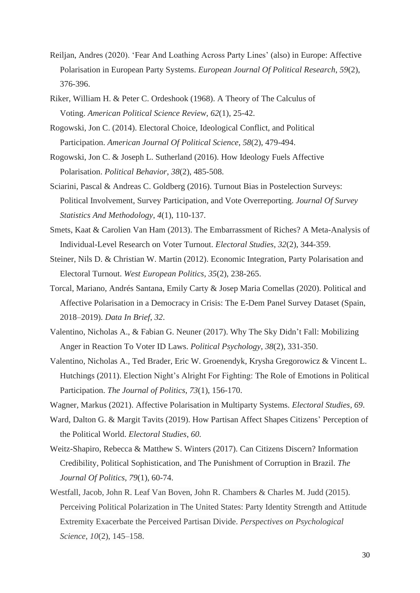- Reiljan, Andres (2020). 'Fear And Loathing Across Party Lines' (also) in Europe: Affective Polarisation in European Party Systems. *European Journal Of Political Research*, *59*(2), 376-396.
- Riker, William H. & Peter C. Ordeshook (1968). A Theory of The Calculus of Voting. *American Political Science Review*, *62*(1), 25-42.
- Rogowski, Jon C. (2014). Electoral Choice, Ideological Conflict, and Political Participation. *American Journal Of Political Science*, *58*(2), 479-494.
- Rogowski, Jon C. & Joseph L. Sutherland (2016). How Ideology Fuels Affective Polarisation. *Political Behavior*, *38*(2), 485-508.
- Sciarini, Pascal & Andreas C. Goldberg (2016). Turnout Bias in Postelection Surveys: Political Involvement, Survey Participation, and Vote Overreporting. *Journal Of Survey Statistics And Methodology*, *4*(1), 110-137.
- Smets, Kaat & Carolien Van Ham (2013). The Embarrassment of Riches? A Meta-Analysis of Individual-Level Research on Voter Turnout. *Electoral Studies*, *32*(2), 344-359.
- Steiner, Nils D. & Christian W. Martin (2012). Economic Integration, Party Polarisation and Electoral Turnout. *West European Politics*, *35*(2), 238-265.
- Torcal, Mariano, Andrés Santana, Emily Carty & Josep Maria Comellas (2020). Political and Affective Polarisation in a Democracy in Crisis: The E-Dem Panel Survey Dataset (Spain, 2018–2019). *Data In Brief*, *32*.
- Valentino, Nicholas A., & Fabian G. Neuner (2017). Why The Sky Didn't Fall: Mobilizing Anger in Reaction To Voter ID Laws. *Political Psychology*, *38*(2), 331-350.
- Valentino, Nicholas A., Ted Brader, Eric W. Groenendyk, Krysha Gregorowicz & Vincent L. Hutchings (2011). Election Night's Alright For Fighting: The Role of Emotions in Political Participation. *The Journal of Politics*, *73*(1), 156-170.
- Wagner, Markus (2021). Affective Polarisation in Multiparty Systems. *Electoral Studies, 69*.
- Ward, Dalton G. & Margit Tavits (2019). How Partisan Affect Shapes Citizens' Perception of the Political World. *Electoral Studies*, *60.*
- Weitz-Shapiro, Rebecca & Matthew S. Winters (2017). Can Citizens Discern? Information Credibility, Political Sophistication, and The Punishment of Corruption in Brazil. *The Journal Of Politics*, *79*(1), 60-74.
- Westfall, Jacob, John R. Leaf Van Boven, John R. Chambers & Charles M. Judd (2015). Perceiving Political Polarization in The United States: Party Identity Strength and Attitude Extremity Exacerbate the Perceived Partisan Divide. *Perspectives on Psychological Science*, *10*(2), 145–158.